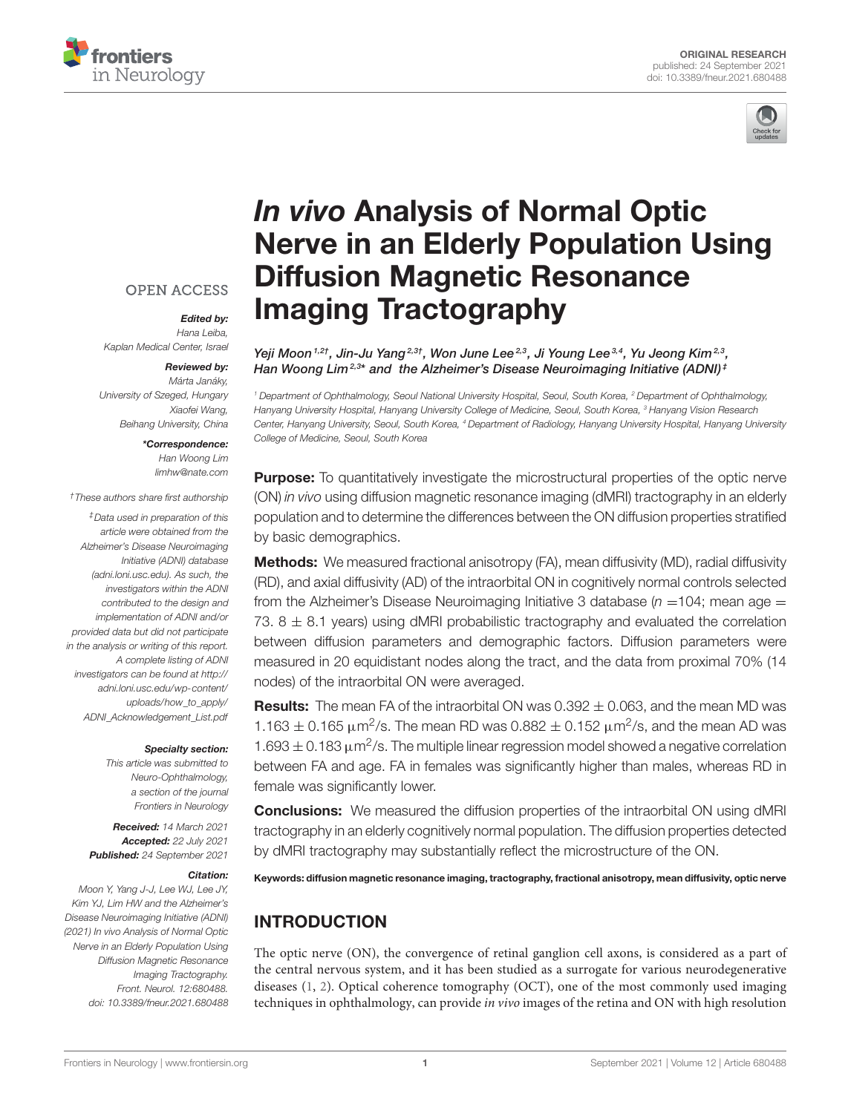



# In vivo Analysis of Normal Optic [Nerve in an Elderly Population Using](https://www.frontiersin.org/articles/10.3389/fneur.2021.680488/full) Diffusion Magnetic Resonance Imaging Tractography

#### Yeji Moon 1,2†, Jin-Ju Yang<sup>2,3†</sup>, Won June Lee<sup>2,3</sup>, Ji Young Lee<sup>3,4</sup>, Yu Jeong Kim<sup>2,3</sup>, Han Woong Lim<sup>2,3\*</sup> and the Alzheimer's Disease Neuroimaging Initiative (ADNI)<sup>‡</sup>

<sup>1</sup> Department of Ophthalmology, Seoul National University Hospital, Seoul, South Korea, <sup>2</sup> Department of Ophthalmology, Hanyang University Hospital, Hanyang University College of Medicine, Seoul, South Korea, <sup>3</sup> Hanyang Vision Research Center, Hanyang University, Seoul, South Korea, <sup>4</sup> Department of Radiology, Hanyang University Hospital, Hanyang University College of Medicine, Seoul, South Korea

**Purpose:** To quantitatively investigate the microstructural properties of the optic nerve (ON) in vivo using diffusion magnetic resonance imaging (dMRI) tractography in an elderly population and to determine the differences between the ON diffusion properties stratified by basic demographics.

**Methods:** We measured fractional anisotropy (FA), mean diffusivity (MD), radial diffusivity (RD), and axial diffusivity (AD) of the intraorbital ON in cognitively normal controls selected from the Alzheimer's Disease Neuroimaging Initiative 3 database ( $n = 104$ ; mean age = 73.  $8 \pm 8.1$  years) using dMRI probabilistic tractography and evaluated the correlation between diffusion parameters and demographic factors. Diffusion parameters were measured in 20 equidistant nodes along the tract, and the data from proximal 70% (14 nodes) of the intraorbital ON were averaged.

**Results:** The mean FA of the intraorbital ON was  $0.392 \pm 0.063$ , and the mean MD was 1.163  $\pm$  0.165  $\mu$ m<sup>2</sup>/s. The mean RD was 0.882  $\pm$  0.152  $\mu$ m<sup>2</sup>/s, and the mean AD was 1.693  $\pm$  0.183  $\mu$ m<sup>2</sup>/s. The multiple linear regression model showed a negative correlation between FA and age. FA in females was significantly higher than males, whereas RD in female was significantly lower.

**Conclusions:** We measured the diffusion properties of the intraorbital ON using dMRI tractography in an elderly cognitively normal population. The diffusion properties detected by dMRI tractography may substantially reflect the microstructure of the ON.

Keywords: diffusion magnetic resonance imaging, tractography, fractional anisotropy, mean diffusivity, optic nerve

# INTRODUCTION

The optic nerve (ON), the convergence of retinal ganglion cell axons, is considered as a part of the central nervous system, and it has been studied as a surrogate for various neurodegenerative diseases [\(1,](#page-6-0) [2\)](#page-6-1). Optical coherence tomography (OCT), one of the most commonly used imaging techniques in ophthalmology, can provide in vivo images of the retina and ON with high resolution

#### **OPEN ACCESS**

Edited by: Hana Leiba, Kaplan Medical Center, Israel

#### Reviewed by:

Márta Janáky, University of Szeged, Hungary Xiaofei Wang, Beihang University, China

#### \*Correspondence: Han Woong Lim [limhw@nate.com](mailto:limhw@nate.com)

†These authors share first authorship

‡Data used in preparation of this article were obtained from the Alzheimer's Disease Neuroimaging Initiative (ADNI) database [\(adni.loni.usc.edu\)](http://adni.loni.usc.edu). As such, the investigators within the ADNI contributed to the design and implementation of ADNI and/or provided data but did not participate in the analysis or writing of this report. A complete listing of ADNI investigators can be found at [http://](http://adni.loni.usc.edu/wp-content/uploads/how_to_apply/ADNI_Acknowledgement_List.pdf) [adni.loni.usc.edu/wp-content/](http://adni.loni.usc.edu/wp-content/uploads/how_to_apply/ADNI_Acknowledgement_List.pdf) [uploads/how\\_to\\_apply/](http://adni.loni.usc.edu/wp-content/uploads/how_to_apply/ADNI_Acknowledgement_List.pdf) [ADNI\\_Acknowledgement\\_List.pdf](http://adni.loni.usc.edu/wp-content/uploads/how_to_apply/ADNI_Acknowledgement_List.pdf)

#### Specialty section:

This article was submitted to Neuro-Ophthalmology, a section of the journal Frontiers in Neurology

Received: 14 March 2021 Accepted: 22 July 2021 Published: 24 September 2021

#### Citation:

Moon Y, Yang J-J, Lee WJ, Lee JY, Kim YJ, Lim HW and the Alzheimer's Disease Neuroimaging Initiative (ADNI) (2021) In vivo Analysis of Normal Optic Nerve in an Elderly Population Using Diffusion Magnetic Resonance Imaging Tractography. Front. Neurol. 12:680488. doi: [10.3389/fneur.2021.680488](https://doi.org/10.3389/fneur.2021.680488)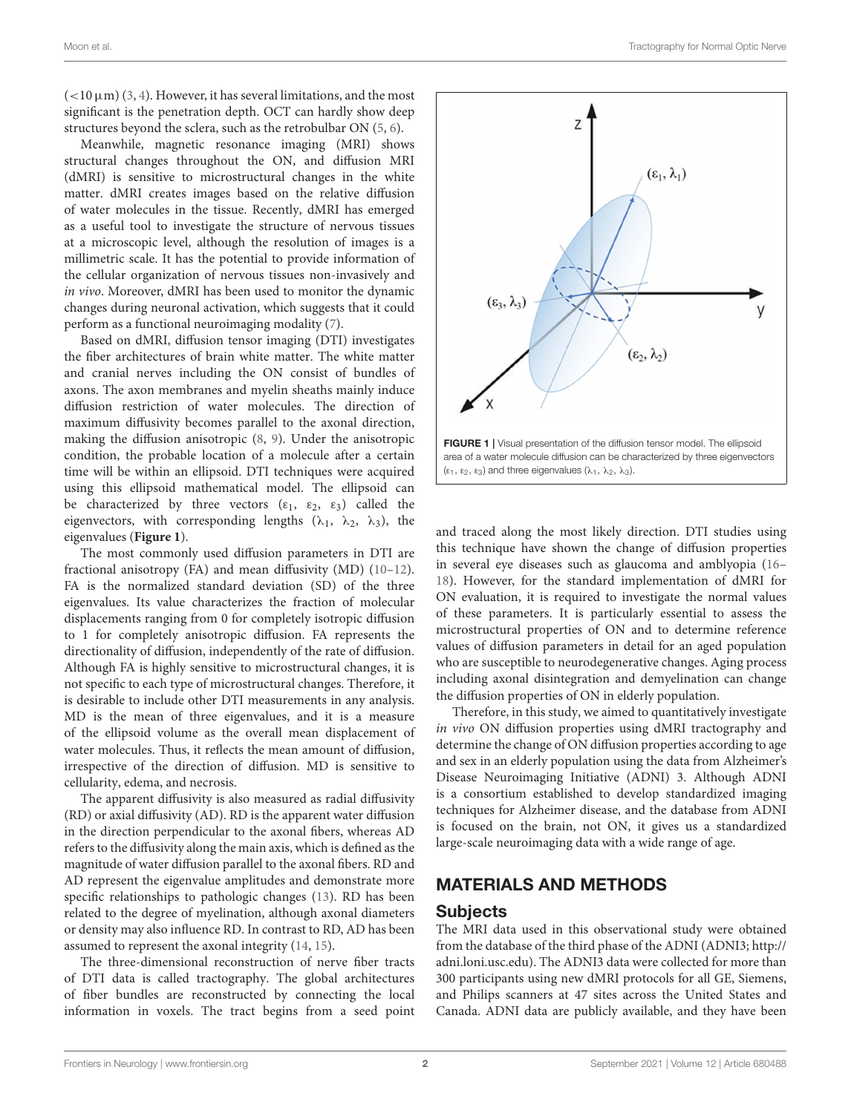$(<10 \,\mu m$ ) [\(3,](#page-6-2) [4\)](#page-6-3). However, it has several limitations, and the most significant is the penetration depth. OCT can hardly show deep structures beyond the sclera, such as the retrobulbar ON [\(5,](#page-6-4) [6\)](#page-6-5).

Meanwhile, magnetic resonance imaging (MRI) shows structural changes throughout the ON, and diffusion MRI (dMRI) is sensitive to microstructural changes in the white matter. dMRI creates images based on the relative diffusion of water molecules in the tissue. Recently, dMRI has emerged as a useful tool to investigate the structure of nervous tissues at a microscopic level, although the resolution of images is a millimetric scale. It has the potential to provide information of the cellular organization of nervous tissues non-invasively and in vivo. Moreover, dMRI has been used to monitor the dynamic changes during neuronal activation, which suggests that it could perform as a functional neuroimaging modality [\(7\)](#page-6-6).

Based on dMRI, diffusion tensor imaging (DTI) investigates the fiber architectures of brain white matter. The white matter and cranial nerves including the ON consist of bundles of axons. The axon membranes and myelin sheaths mainly induce diffusion restriction of water molecules. The direction of maximum diffusivity becomes parallel to the axonal direction, making the diffusion anisotropic [\(8,](#page-6-7) [9\)](#page-6-8). Under the anisotropic condition, the probable location of a molecule after a certain time will be within an ellipsoid. DTI techniques were acquired using this ellipsoid mathematical model. The ellipsoid can be characterized by three vectors  $(\varepsilon_1, \varepsilon_2, \varepsilon_3)$  called the eigenvectors, with corresponding lengths ( $\lambda_1$ ,  $\lambda_2$ ,  $\lambda_3$ ), the eigenvalues (**[Figure 1](#page-1-0)**).

The most commonly used diffusion parameters in DTI are fractional anisotropy (FA) and mean diffusivity (MD) [\(10–](#page-6-9)[12\)](#page-6-10). FA is the normalized standard deviation (SD) of the three eigenvalues. Its value characterizes the fraction of molecular displacements ranging from 0 for completely isotropic diffusion to 1 for completely anisotropic diffusion. FA represents the directionality of diffusion, independently of the rate of diffusion. Although FA is highly sensitive to microstructural changes, it is not specific to each type of microstructural changes. Therefore, it is desirable to include other DTI measurements in any analysis. MD is the mean of three eigenvalues, and it is a measure of the ellipsoid volume as the overall mean displacement of water molecules. Thus, it reflects the mean amount of diffusion, irrespective of the direction of diffusion. MD is sensitive to cellularity, edema, and necrosis.

The apparent diffusivity is also measured as radial diffusivity (RD) or axial diffusivity (AD). RD is the apparent water diffusion in the direction perpendicular to the axonal fibers, whereas AD refers to the diffusivity along the main axis, which is defined as the magnitude of water diffusion parallel to the axonal fibers. RD and AD represent the eigenvalue amplitudes and demonstrate more specific relationships to pathologic changes [\(13\)](#page-6-11). RD has been related to the degree of myelination, although axonal diameters or density may also influence RD. In contrast to RD, AD has been assumed to represent the axonal integrity [\(14,](#page-6-12) [15\)](#page-6-13).

The three-dimensional reconstruction of nerve fiber tracts of DTI data is called tractography. The global architectures of fiber bundles are reconstructed by connecting the local information in voxels. The tract begins from a seed point



<span id="page-1-0"></span>and traced along the most likely direction. DTI studies using this technique have shown the change of diffusion properties in several eye diseases such as glaucoma and amblyopia [\(16–](#page-6-14) [18\)](#page-6-15). However, for the standard implementation of dMRI for ON evaluation, it is required to investigate the normal values of these parameters. It is particularly essential to assess the microstructural properties of ON and to determine reference values of diffusion parameters in detail for an aged population who are susceptible to neurodegenerative changes. Aging process including axonal disintegration and demyelination can change the diffusion properties of ON in elderly population.

Therefore, in this study, we aimed to quantitatively investigate in vivo ON diffusion properties using dMRI tractography and determine the change of ON diffusion properties according to age and sex in an elderly population using the data from Alzheimer's Disease Neuroimaging Initiative (ADNI) 3. Although ADNI is a consortium established to develop standardized imaging techniques for Alzheimer disease, and the database from ADNI is focused on the brain, not ON, it gives us a standardized large-scale neuroimaging data with a wide range of age.

#### MATERIALS AND METHODS

#### Subjects

The MRI data used in this observational study were obtained from the database of the third phase of the ADNI (ADNI3; [http://](http://adni.loni.usc.edu) [adni.loni.usc.edu\)](http://adni.loni.usc.edu). The ADNI3 data were collected for more than 300 participants using new dMRI protocols for all GE, Siemens, and Philips scanners at 47 sites across the United States and Canada. ADNI data are publicly available, and they have been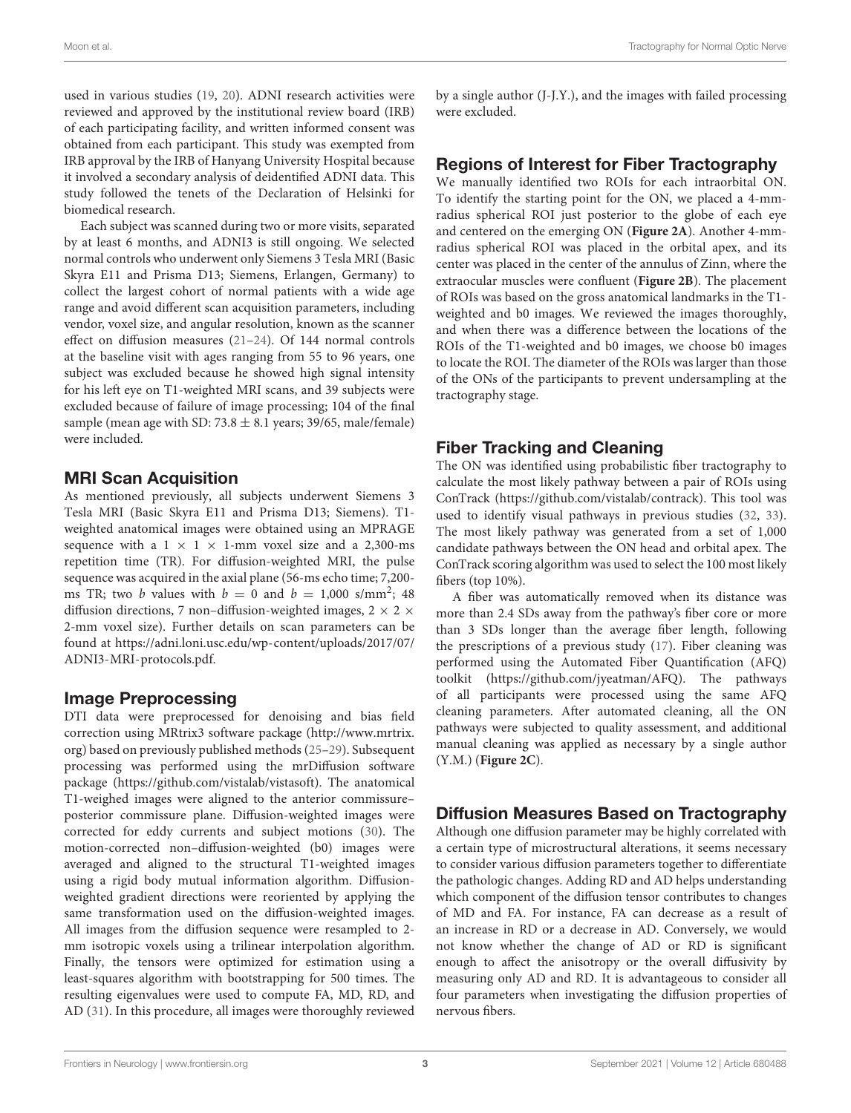used in various studies [\(19,](#page-6-16) [20\)](#page-6-17). ADNI research activities were reviewed and approved by the institutional review board (IRB) of each participating facility, and written informed consent was obtained from each participant. This study was exempted from IRB approval by the IRB of Hanyang University Hospital because it involved a secondary analysis of deidentified ADNI data. This study followed the tenets of the Declaration of Helsinki for biomedical research.

Each subject was scanned during two or more visits, separated by at least 6 months, and ADNI3 is still ongoing. We selected normal controls who underwent only Siemens 3 Tesla MRI (Basic Skyra E11 and Prisma D13; Siemens, Erlangen, Germany) to collect the largest cohort of normal patients with a wide age range and avoid different scan acquisition parameters, including vendor, voxel size, and angular resolution, known as the scanner effect on diffusion measures [\(21](#page-6-18)[–24\)](#page-6-19). Of 144 normal controls at the baseline visit with ages ranging from 55 to 96 years, one subject was excluded because he showed high signal intensity for his left eye on T1-weighted MRI scans, and 39 subjects were excluded because of failure of image processing; 104 of the final sample (mean age with SD:  $73.8 \pm 8.1$  years; 39/65, male/female) were included.

## MRI Scan Acquisition

As mentioned previously, all subjects underwent Siemens 3 Tesla MRI (Basic Skyra E11 and Prisma D13; Siemens). T1 weighted anatomical images were obtained using an MPRAGE sequence with a  $1 \times 1 \times 1$ -mm voxel size and a 2,300-ms repetition time (TR). For diffusion-weighted MRI, the pulse sequence was acquired in the axial plane (56-ms echo time; 7,200 ms TR; two *b* values with  $b = 0$  and  $b = 1,000$  s/mm<sup>2</sup>; 48 diffusion directions, 7 non-diffusion-weighted images, 2  $\times$  2  $\times$ 2-mm voxel size). Further details on scan parameters can be found at [https://adni.loni.usc.edu/wp-content/uploads/2017/07/](https://adni.loni.usc.edu/wp-content/uploads/2017/07/ADNI3-MRI-protocols.pdf) [ADNI3-MRI-protocols.pdf.](https://adni.loni.usc.edu/wp-content/uploads/2017/07/ADNI3-MRI-protocols.pdf)

#### Image Preprocessing

DTI data were preprocessed for denoising and bias field correction using MRtrix3 software package [\(http://www.mrtrix.](http://www.mrtrix.org) [org\)](http://www.mrtrix.org) based on previously published methods [\(25](#page-6-20)[–29\)](#page-6-21). Subsequent processing was performed using the mrDiffusion software package [\(https://github.com/vistalab/vistasoft\)](https://github.com/vistalab/vistasoft). The anatomical T1-weighed images were aligned to the anterior commissure– posterior commissure plane. Diffusion-weighted images were corrected for eddy currents and subject motions [\(30\)](#page-7-0). The motion-corrected non–diffusion-weighted (b0) images were averaged and aligned to the structural T1-weighted images using a rigid body mutual information algorithm. Diffusionweighted gradient directions were reoriented by applying the same transformation used on the diffusion-weighted images. All images from the diffusion sequence were resampled to 2 mm isotropic voxels using a trilinear interpolation algorithm. Finally, the tensors were optimized for estimation using a least-squares algorithm with bootstrapping for 500 times. The resulting eigenvalues were used to compute FA, MD, RD, and AD [\(31\)](#page-7-1). In this procedure, all images were thoroughly reviewed by a single author (J-J.Y.), and the images with failed processing were excluded.

# Regions of Interest for Fiber Tractography

We manually identified two ROIs for each intraorbital ON. To identify the starting point for the ON, we placed a 4-mmradius spherical ROI just posterior to the globe of each eye and centered on the emerging ON (**[Figure 2A](#page-3-0)**). Another 4-mmradius spherical ROI was placed in the orbital apex, and its center was placed in the center of the annulus of Zinn, where the extraocular muscles were confluent (**[Figure 2B](#page-3-0)**). The placement of ROIs was based on the gross anatomical landmarks in the T1 weighted and b0 images. We reviewed the images thoroughly, and when there was a difference between the locations of the ROIs of the T1-weighted and b0 images, we choose b0 images to locate the ROI. The diameter of the ROIs was larger than those of the ONs of the participants to prevent undersampling at the tractography stage.

# Fiber Tracking and Cleaning

The ON was identified using probabilistic fiber tractography to calculate the most likely pathway between a pair of ROIs using ConTrack [\(https://github.com/vistalab/contrack\)](https://github.com/vistalab/contrack). This tool was used to identify visual pathways in previous studies [\(32,](#page-7-2) [33\)](#page-7-3). The most likely pathway was generated from a set of 1,000 candidate pathways between the ON head and orbital apex. The ConTrack scoring algorithm was used to select the 100 most likely fibers (top 10%).

A fiber was automatically removed when its distance was more than 2.4 SDs away from the pathway's fiber core or more than 3 SDs longer than the average fiber length, following the prescriptions of a previous study [\(17\)](#page-6-22). Fiber cleaning was performed using the Automated Fiber Quantification (AFQ) toolkit [\(https://github.com/jyeatman/AFQ\)](https://github.com/jyeatman/AFQ). The pathways of all participants were processed using the same AFQ cleaning parameters. After automated cleaning, all the ON pathways were subjected to quality assessment, and additional manual cleaning was applied as necessary by a single author (Y.M.) (**[Figure 2C](#page-3-0)**).

# Diffusion Measures Based on Tractography

Although one diffusion parameter may be highly correlated with a certain type of microstructural alterations, it seems necessary to consider various diffusion parameters together to differentiate the pathologic changes. Adding RD and AD helps understanding which component of the diffusion tensor contributes to changes of MD and FA. For instance, FA can decrease as a result of an increase in RD or a decrease in AD. Conversely, we would not know whether the change of AD or RD is significant enough to affect the anisotropy or the overall diffusivity by measuring only AD and RD. It is advantageous to consider all four parameters when investigating the diffusion properties of nervous fibers.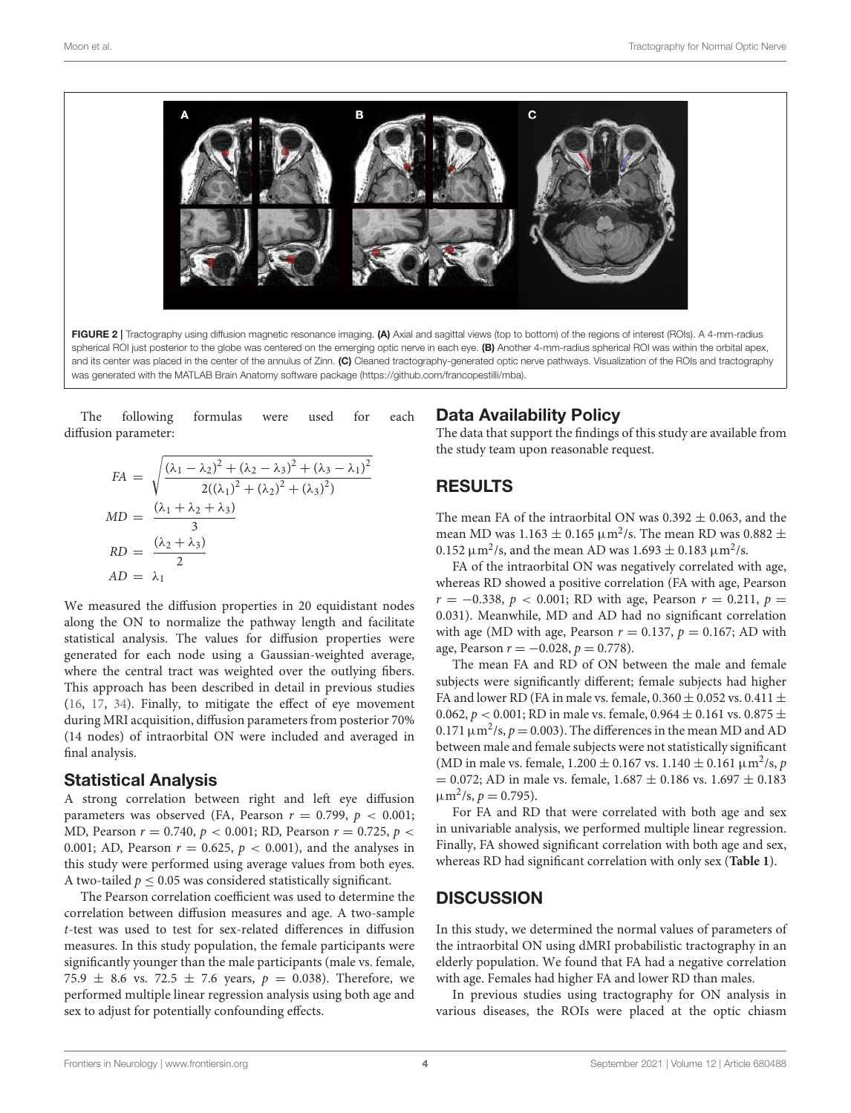

<span id="page-3-0"></span>The following formulas were used for each diffusion parameter:

$$
FA = \sqrt{\frac{(\lambda_1 - \lambda_2)^2 + (\lambda_2 - \lambda_3)^2 + (\lambda_3 - \lambda_1)^2}{2((\lambda_1)^2 + (\lambda_2)^2 + (\lambda_3)^2)}}
$$
  
\n
$$
MD = \frac{(\lambda_1 + \lambda_2 + \lambda_3)}{3}
$$
  
\n
$$
RD = \frac{(\lambda_2 + \lambda_3)}{2}
$$
  
\n
$$
AD = \lambda_1
$$

We measured the diffusion properties in 20 equidistant nodes along the ON to normalize the pathway length and facilitate statistical analysis. The values for diffusion properties were generated for each node using a Gaussian-weighted average, where the central tract was weighted over the outlying fibers. This approach has been described in detail in previous studies [\(16,](#page-6-14) [17,](#page-6-22) [34\)](#page-7-4). Finally, to mitigate the effect of eye movement during MRI acquisition, diffusion parameters from posterior 70% (14 nodes) of intraorbital ON were included and averaged in final analysis.

#### Statistical Analysis

A strong correlation between right and left eye diffusion parameters was observed (FA, Pearson  $r = 0.799$ ,  $p < 0.001$ ; MD, Pearson  $r = 0.740$ ,  $p < 0.001$ ; RD, Pearson  $r = 0.725$ ,  $p <$ 0.001; AD, Pearson  $r = 0.625$ ,  $p < 0.001$ ), and the analyses in this study were performed using average values from both eyes. A two-tailed  $p \leq 0.05$  was considered statistically significant.

The Pearson correlation coefficient was used to determine the correlation between diffusion measures and age. A two-sample t-test was used to test for sex-related differences in diffusion measures. In this study population, the female participants were significantly younger than the male participants (male vs. female, 75.9  $\pm$  8.6 vs. 72.5  $\pm$  7.6 years,  $p = 0.038$ ). Therefore, we performed multiple linear regression analysis using both age and sex to adjust for potentially confounding effects.

#### Data Availability Policy

The data that support the findings of this study are available from the study team upon reasonable request.

# RESULTS

The mean FA of the intraorbital ON was  $0.392 \pm 0.063$ , and the mean MD was  $1.163 \pm 0.165 \,\mathrm{\upmu m^2/s}$ . The mean RD was 0.882  $\pm$ 0.152  $\mu$ m<sup>2</sup>/s, and the mean AD was 1.693  $\pm$  0.183  $\mu$ m<sup>2</sup>/s.

FA of the intraorbital ON was negatively correlated with age, whereas RD showed a positive correlation (FA with age, Pearson  $r = -0.338, p < 0.001$ ; RD with age, Pearson  $r = 0.211, p =$ 0.031). Meanwhile, MD and AD had no significant correlation with age (MD with age, Pearson  $r = 0.137$ ,  $p = 0.167$ ; AD with age, Pearson  $r = -0.028$ ,  $p = 0.778$ ).

The mean FA and RD of ON between the male and female subjects were significantly different; female subjects had higher FA and lower RD (FA in male vs. female,  $0.360 \pm 0.052$  vs.  $0.411 \pm$ 0.062,  $p < 0.001$ ; RD in male vs. female, 0.964  $\pm$  0.161 vs. 0.875  $\pm$ 0.171  $\mu$ m<sup>2</sup>/s,  $p = 0.003$ ). The differences in the mean MD and AD between male and female subjects were not statistically significant (MD in male vs. female,  $1.200 \pm 0.167$  vs.  $1.140 \pm 0.161$   $\mu$ m<sup>2</sup>/s, *p*  $= 0.072$ ; AD in male vs. female,  $1.687 \pm 0.186$  vs.  $1.697 \pm 0.183$  $\mu$ m<sup>2</sup>/s,  $p = 0.795$ ).

For FA and RD that were correlated with both age and sex in univariable analysis, we performed multiple linear regression. Finally, FA showed significant correlation with both age and sex, whereas RD had significant correlation with only sex (**[Table 1](#page-4-0)**).

#### **DISCUSSION**

In this study, we determined the normal values of parameters of the intraorbital ON using dMRI probabilistic tractography in an elderly population. We found that FA had a negative correlation with age. Females had higher FA and lower RD than males.

In previous studies using tractography for ON analysis in various diseases, the ROIs were placed at the optic chiasm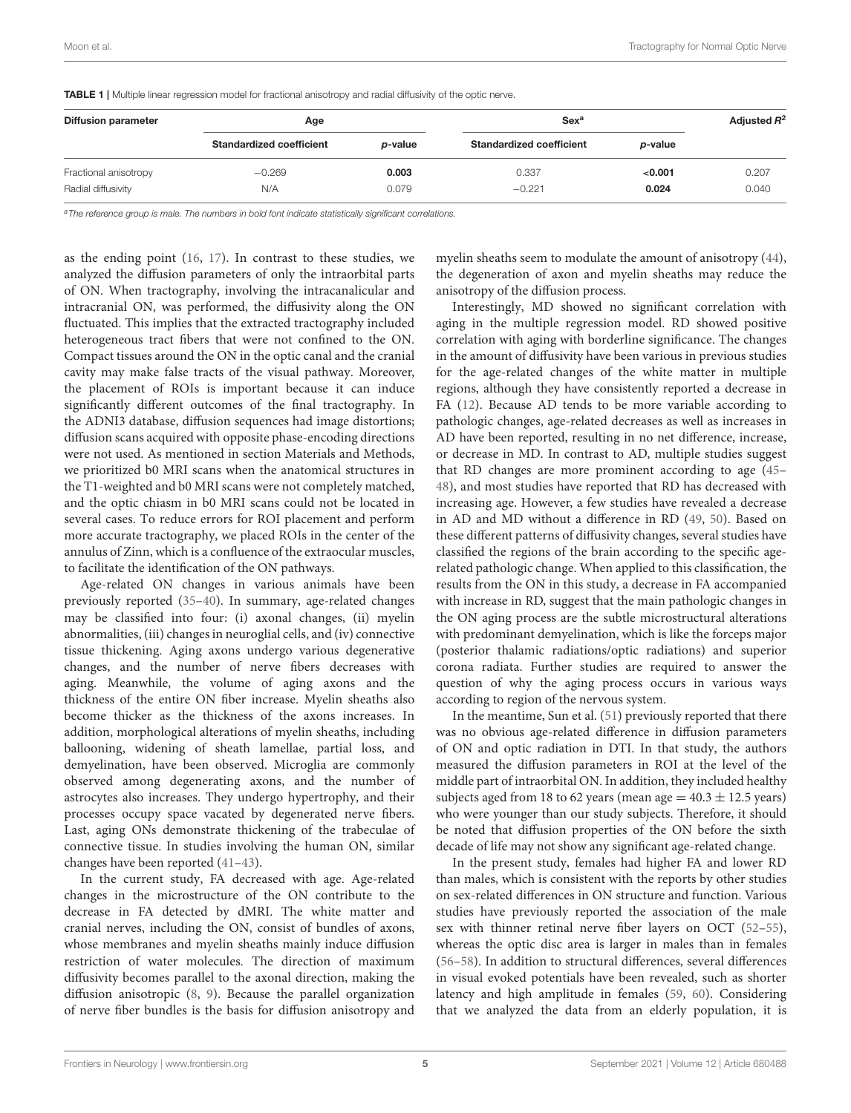<span id="page-4-0"></span>TABLE 1 | Multiple linear regression model for fractional anisotropy and radial diffusivity of the optic nerve.

| <b>Diffusion parameter</b> | Age                             |         | Sex <sup>a</sup>                |         | Adjusted $R^2$ |
|----------------------------|---------------------------------|---------|---------------------------------|---------|----------------|
|                            | <b>Standardized coefficient</b> | p-value | <b>Standardized coefficient</b> | p-value |                |
| Fractional anisotropy      | $-0.269$                        | 0.003   | 0.337                           | < 0.001 | 0.207          |
| Radial diffusivity         | N/A                             | 0.079   | $-0.221$                        | 0.024   | 0.040          |

a The reference group is male. The numbers in bold font indicate statistically significant correlations.

as the ending point [\(16,](#page-6-14) [17\)](#page-6-22). In contrast to these studies, we analyzed the diffusion parameters of only the intraorbital parts of ON. When tractography, involving the intracanalicular and intracranial ON, was performed, the diffusivity along the ON fluctuated. This implies that the extracted tractography included heterogeneous tract fibers that were not confined to the ON. Compact tissues around the ON in the optic canal and the cranial cavity may make false tracts of the visual pathway. Moreover, the placement of ROIs is important because it can induce significantly different outcomes of the final tractography. In the ADNI3 database, diffusion sequences had image distortions; diffusion scans acquired with opposite phase-encoding directions were not used. As mentioned in section Materials and Methods, we prioritized b0 MRI scans when the anatomical structures in the T1-weighted and b0 MRI scans were not completely matched, and the optic chiasm in b0 MRI scans could not be located in several cases. To reduce errors for ROI placement and perform more accurate tractography, we placed ROIs in the center of the annulus of Zinn, which is a confluence of the extraocular muscles, to facilitate the identification of the ON pathways.

Age-related ON changes in various animals have been previously reported [\(35–](#page-7-5)[40\)](#page-7-6). In summary, age-related changes may be classified into four: (i) axonal changes, (ii) myelin abnormalities, (iii) changes in neuroglial cells, and (iv) connective tissue thickening. Aging axons undergo various degenerative changes, and the number of nerve fibers decreases with aging. Meanwhile, the volume of aging axons and the thickness of the entire ON fiber increase. Myelin sheaths also become thicker as the thickness of the axons increases. In addition, morphological alterations of myelin sheaths, including ballooning, widening of sheath lamellae, partial loss, and demyelination, have been observed. Microglia are commonly observed among degenerating axons, and the number of astrocytes also increases. They undergo hypertrophy, and their processes occupy space vacated by degenerated nerve fibers. Last, aging ONs demonstrate thickening of the trabeculae of connective tissue. In studies involving the human ON, similar changes have been reported [\(41](#page-7-7)[–43\)](#page-7-8).

In the current study, FA decreased with age. Age-related changes in the microstructure of the ON contribute to the decrease in FA detected by dMRI. The white matter and cranial nerves, including the ON, consist of bundles of axons, whose membranes and myelin sheaths mainly induce diffusion restriction of water molecules. The direction of maximum diffusivity becomes parallel to the axonal direction, making the diffusion anisotropic [\(8,](#page-6-7) [9\)](#page-6-8). Because the parallel organization of nerve fiber bundles is the basis for diffusion anisotropy and myelin sheaths seem to modulate the amount of anisotropy [\(44\)](#page-7-9), the degeneration of axon and myelin sheaths may reduce the anisotropy of the diffusion process.

Interestingly, MD showed no significant correlation with aging in the multiple regression model. RD showed positive correlation with aging with borderline significance. The changes in the amount of diffusivity have been various in previous studies for the age-related changes of the white matter in multiple regions, although they have consistently reported a decrease in FA [\(12\)](#page-6-10). Because AD tends to be more variable according to pathologic changes, age-related decreases as well as increases in AD have been reported, resulting in no net difference, increase, or decrease in MD. In contrast to AD, multiple studies suggest that RD changes are more prominent according to age [\(45–](#page-7-10) [48\)](#page-7-11), and most studies have reported that RD has decreased with increasing age. However, a few studies have revealed a decrease in AD and MD without a difference in RD [\(49,](#page-7-12) [50\)](#page-7-13). Based on these different patterns of diffusivity changes, several studies have classified the regions of the brain according to the specific agerelated pathologic change. When applied to this classification, the results from the ON in this study, a decrease in FA accompanied with increase in RD, suggest that the main pathologic changes in the ON aging process are the subtle microstructural alterations with predominant demyelination, which is like the forceps major (posterior thalamic radiations/optic radiations) and superior corona radiata. Further studies are required to answer the question of why the aging process occurs in various ways according to region of the nervous system.

In the meantime, Sun et al. [\(51\)](#page-7-14) previously reported that there was no obvious age-related difference in diffusion parameters of ON and optic radiation in DTI. In that study, the authors measured the diffusion parameters in ROI at the level of the middle part of intraorbital ON. In addition, they included healthy subjects aged from 18 to 62 years (mean age  $= 40.3 \pm 12.5$  years) who were younger than our study subjects. Therefore, it should be noted that diffusion properties of the ON before the sixth decade of life may not show any significant age-related change.

In the present study, females had higher FA and lower RD than males, which is consistent with the reports by other studies on sex-related differences in ON structure and function. Various studies have previously reported the association of the male sex with thinner retinal nerve fiber layers on OCT [\(52–](#page-7-15)[55\)](#page-7-16), whereas the optic disc area is larger in males than in females [\(56](#page-7-17)[–58\)](#page-7-18). In addition to structural differences, several differences in visual evoked potentials have been revealed, such as shorter latency and high amplitude in females [\(59,](#page-7-19) [60\)](#page-7-20). Considering that we analyzed the data from an elderly population, it is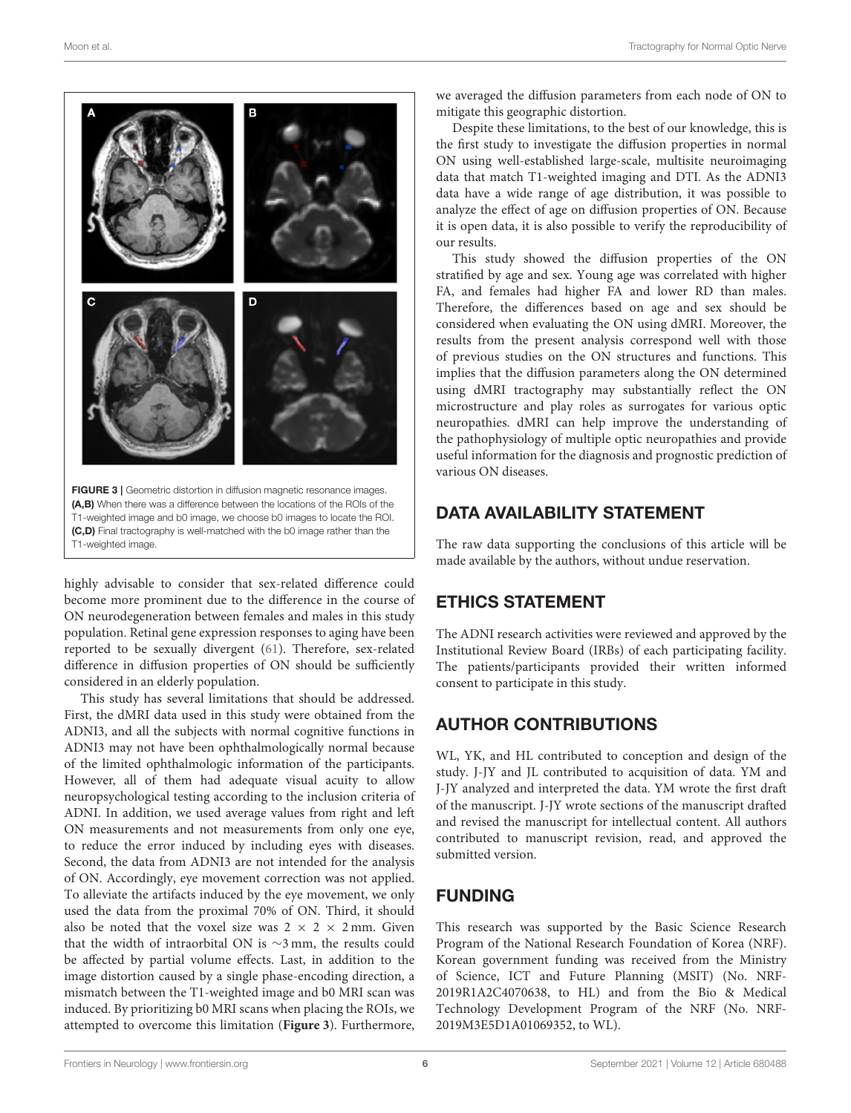

<span id="page-5-0"></span>highly advisable to consider that sex-related difference could become more prominent due to the difference in the course of ON neurodegeneration between females and males in this study population. Retinal gene expression responses to aging have been reported to be sexually divergent [\(61\)](#page-7-21). Therefore, sex-related difference in diffusion properties of ON should be sufficiently considered in an elderly population.

This study has several limitations that should be addressed. First, the dMRI data used in this study were obtained from the ADNI3, and all the subjects with normal cognitive functions in ADNI3 may not have been ophthalmologically normal because of the limited ophthalmologic information of the participants. However, all of them had adequate visual acuity to allow neuropsychological testing according to the inclusion criteria of ADNI. In addition, we used average values from right and left ON measurements and not measurements from only one eye, to reduce the error induced by including eyes with diseases. Second, the data from ADNI3 are not intended for the analysis of ON. Accordingly, eye movement correction was not applied. To alleviate the artifacts induced by the eye movement, we only used the data from the proximal 70% of ON. Third, it should also be noted that the voxel size was  $2 \times 2 \times 2$  mm. Given that the width of intraorbital ON is ∼3 mm, the results could be affected by partial volume effects. Last, in addition to the image distortion caused by a single phase-encoding direction, a mismatch between the T1-weighted image and b0 MRI scan was induced. By prioritizing b0 MRI scans when placing the ROIs, we attempted to overcome this limitation (**[Figure 3](#page-5-0)**). Furthermore, we averaged the diffusion parameters from each node of ON to mitigate this geographic distortion.

Despite these limitations, to the best of our knowledge, this is the first study to investigate the diffusion properties in normal ON using well-established large-scale, multisite neuroimaging data that match T1-weighted imaging and DTI. As the ADNI3 data have a wide range of age distribution, it was possible to analyze the effect of age on diffusion properties of ON. Because it is open data, it is also possible to verify the reproducibility of our results.

This study showed the diffusion properties of the ON stratified by age and sex. Young age was correlated with higher FA, and females had higher FA and lower RD than males. Therefore, the differences based on age and sex should be considered when evaluating the ON using dMRI. Moreover, the results from the present analysis correspond well with those of previous studies on the ON structures and functions. This implies that the diffusion parameters along the ON determined using dMRI tractography may substantially reflect the ON microstructure and play roles as surrogates for various optic neuropathies. dMRI can help improve the understanding of the pathophysiology of multiple optic neuropathies and provide useful information for the diagnosis and prognostic prediction of various ON diseases.

# DATA AVAILABILITY STATEMENT

The raw data supporting the conclusions of this article will be made available by the authors, without undue reservation.

# ETHICS STATEMENT

The ADNI research activities were reviewed and approved by the Institutional Review Board (IRBs) of each participating facility. The patients/participants provided their written informed consent to participate in this study.

# AUTHOR CONTRIBUTIONS

WL, YK, and HL contributed to conception and design of the study. J-JY and JL contributed to acquisition of data. YM and J-JY analyzed and interpreted the data. YM wrote the first draft of the manuscript. J-JY wrote sections of the manuscript drafted and revised the manuscript for intellectual content. All authors contributed to manuscript revision, read, and approved the submitted version.

# FUNDING

This research was supported by the Basic Science Research Program of the National Research Foundation of Korea (NRF). Korean government funding was received from the Ministry of Science, ICT and Future Planning (MSIT) (No. NRF-2019R1A2C4070638, to HL) and from the Bio & Medical Technology Development Program of the NRF (No. NRF-2019M3E5D1A01069352, to WL).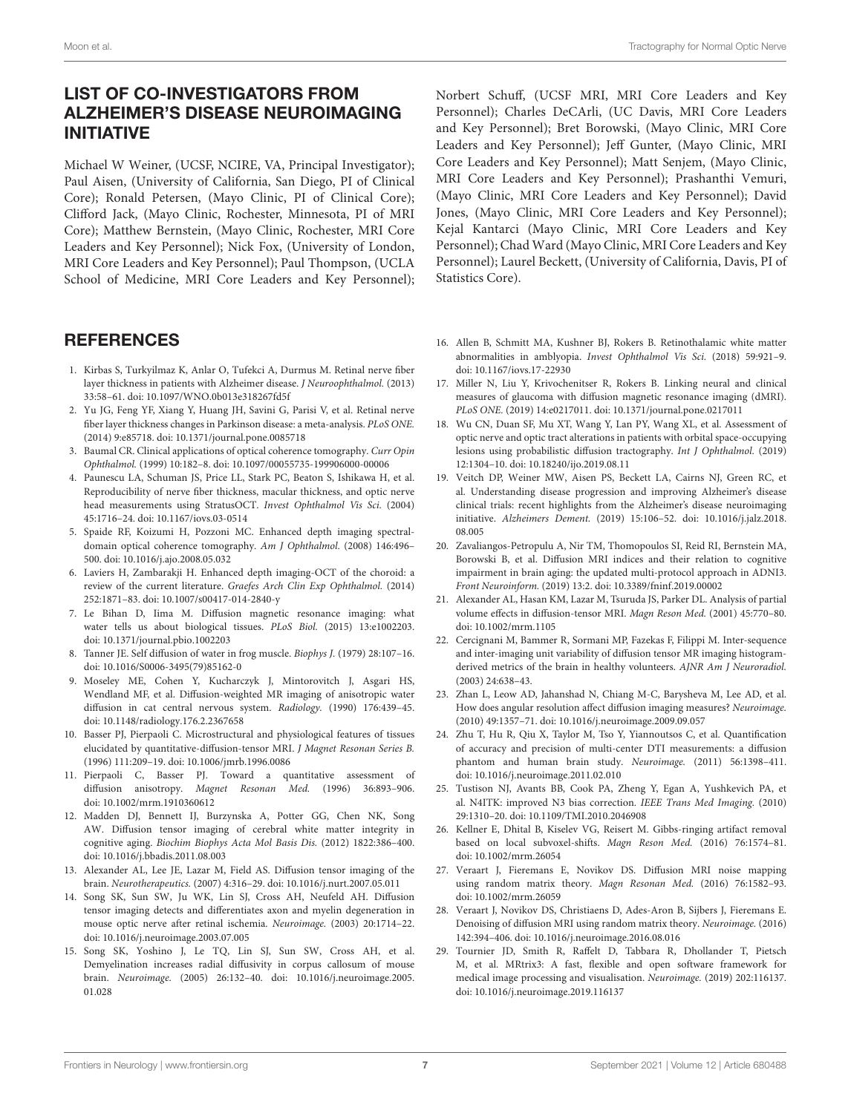# LIST OF CO-INVESTIGATORS FROM ALZHEIMER'S DISEASE NEUROIMAGING INITIATIVE

Michael W Weiner, (UCSF, NCIRE, VA, Principal Investigator); Paul Aisen, (University of California, San Diego, PI of Clinical Core); Ronald Petersen, (Mayo Clinic, PI of Clinical Core); Clifford Jack, (Mayo Clinic, Rochester, Minnesota, PI of MRI Core); Matthew Bernstein, (Mayo Clinic, Rochester, MRI Core Leaders and Key Personnel); Nick Fox, (University of London, MRI Core Leaders and Key Personnel); Paul Thompson, (UCLA School of Medicine, MRI Core Leaders and Key Personnel);

## **REFERENCES**

- <span id="page-6-0"></span>1. Kirbas S, Turkyilmaz K, Anlar O, Tufekci A, Durmus M. Retinal nerve fiber layer thickness in patients with Alzheimer disease. J Neuroophthalmol. (2013) 33:58–61. doi: [10.1097/WNO.0b013e318267fd5f](https://doi.org/10.1097/WNO.0b013e318267fd5f)
- <span id="page-6-1"></span>2. Yu JG, Feng YF, Xiang Y, Huang JH, Savini G, Parisi V, et al. Retinal nerve fiber layer thickness changes in Parkinson disease: a meta-analysis. PLoS ONE. (2014) 9:e85718. doi: [10.1371/journal.pone.0085718](https://doi.org/10.1371/journal.pone.0085718)
- <span id="page-6-2"></span>3. Baumal CR. Clinical applications of optical coherence tomography. Curr Opin Ophthalmol. (1999) 10:182–8. doi: [10.1097/00055735-199906000-00006](https://doi.org/10.1097/00055735-199906000-00006)
- <span id="page-6-3"></span>4. Paunescu LA, Schuman JS, Price LL, Stark PC, Beaton S, Ishikawa H, et al. Reproducibility of nerve fiber thickness, macular thickness, and optic nerve head measurements using StratusOCT. Invest Ophthalmol Vis Sci. (2004) 45:1716–24. doi: [10.1167/iovs.03-0514](https://doi.org/10.1167/iovs.03-0514)
- <span id="page-6-4"></span>5. Spaide RF, Koizumi H, Pozzoni MC. Enhanced depth imaging spectraldomain optical coherence tomography. Am J Ophthalmol. (2008) 146:496– 500. doi: [10.1016/j.ajo.2008.05.032](https://doi.org/10.1016/j.ajo.2008.05.032)
- <span id="page-6-5"></span>6. Laviers H, Zambarakji H. Enhanced depth imaging-OCT of the choroid: a review of the current literature. Graefes Arch Clin Exp Ophthalmol. (2014) 252:1871–83. doi: [10.1007/s00417-014-2840-y](https://doi.org/10.1007/s00417-014-2840-y)
- <span id="page-6-6"></span>7. Le Bihan D, Iima M. Diffusion magnetic resonance imaging: what water tells us about biological tissues. PLoS Biol. (2015) 13:e1002203. doi: [10.1371/journal.pbio.1002203](https://doi.org/10.1371/journal.pbio.1002203)
- <span id="page-6-7"></span>8. Tanner JE. Self diffusion of water in frog muscle. Biophys J. (1979) 28:107–16. doi: [10.1016/S0006-3495\(79\)85162-0](https://doi.org/10.1016/S0006-3495(79)85162-0)
- <span id="page-6-8"></span>9. Moseley ME, Cohen Y, Kucharczyk J, Mintorovitch J, Asgari HS, Wendland MF, et al. Diffusion-weighted MR imaging of anisotropic water diffusion in cat central nervous system. Radiology. (1990) 176:439–45. doi: [10.1148/radiology.176.2.2367658](https://doi.org/10.1148/radiology.176.2.2367658)
- <span id="page-6-9"></span>10. Basser PJ, Pierpaoli C. Microstructural and physiological features of tissues elucidated by quantitative-diffusion-tensor MRI. J Magnet Resonan Series B. (1996) 111:209–19. doi: [10.1006/jmrb.1996.0086](https://doi.org/10.1006/jmrb.1996.0086)
- 11. Pierpaoli C, Basser PJ. Toward a quantitative assessment of diffusion anisotropy. Magnet Resonan Med. (1996) 36:893–906. doi: [10.1002/mrm.1910360612](https://doi.org/10.1002/mrm.1910360612)
- <span id="page-6-10"></span>12. Madden DJ, Bennett IJ, Burzynska A, Potter GG, Chen NK, Song AW. Diffusion tensor imaging of cerebral white matter integrity in cognitive aging. Biochim Biophys Acta Mol Basis Dis. (2012) 1822:386–400. doi: [10.1016/j.bbadis.2011.08.003](https://doi.org/10.1016/j.bbadis.2011.08.003)
- <span id="page-6-11"></span>13. Alexander AL, Lee JE, Lazar M, Field AS. Diffusion tensor imaging of the brain. Neurotherapeutics. (2007) 4:316–29. doi: [10.1016/j.nurt.2007.05.011](https://doi.org/10.1016/j.nurt.2007.05.011)
- <span id="page-6-12"></span>14. Song SK, Sun SW, Ju WK, Lin SJ, Cross AH, Neufeld AH. Diffusion tensor imaging detects and differentiates axon and myelin degeneration in mouse optic nerve after retinal ischemia. Neuroimage. (2003) 20:1714–22. doi: [10.1016/j.neuroimage.2003.07.005](https://doi.org/10.1016/j.neuroimage.2003.07.005)
- <span id="page-6-13"></span>15. Song SK, Yoshino J, Le TQ, Lin SJ, Sun SW, Cross AH, et al. Demyelination increases radial diffusivity in corpus callosum of mouse brain. Neuroimage. [\(2005\) 26:132–40. doi: 10.1016/j.neuroimage.2005.](https://doi.org/10.1016/j.neuroimage.2005.01.028) 01.028

Norbert Schuff, (UCSF MRI, MRI Core Leaders and Key Personnel); Charles DeCArli, (UC Davis, MRI Core Leaders and Key Personnel); Bret Borowski, (Mayo Clinic, MRI Core Leaders and Key Personnel); Jeff Gunter, (Mayo Clinic, MRI Core Leaders and Key Personnel); Matt Senjem, (Mayo Clinic, MRI Core Leaders and Key Personnel); Prashanthi Vemuri, (Mayo Clinic, MRI Core Leaders and Key Personnel); David Jones, (Mayo Clinic, MRI Core Leaders and Key Personnel); Kejal Kantarci (Mayo Clinic, MRI Core Leaders and Key Personnel); Chad Ward (Mayo Clinic, MRI Core Leaders and Key Personnel); Laurel Beckett, (University of California, Davis, PI of Statistics Core).

- <span id="page-6-14"></span>16. Allen B, Schmitt MA, Kushner BJ, Rokers B. Retinothalamic white matter abnormalities in amblyopia. Invest Ophthalmol Vis Sci. (2018) 59:921–9. doi: [10.1167/iovs.17-22930](https://doi.org/10.1167/iovs.17-22930)
- <span id="page-6-22"></span>17. Miller N, Liu Y, Krivochenitser R, Rokers B. Linking neural and clinical measures of glaucoma with diffusion magnetic resonance imaging (dMRI). PLoS ONE. (2019) 14:e0217011. doi: [10.1371/journal.pone.0217011](https://doi.org/10.1371/journal.pone.0217011)
- <span id="page-6-15"></span>18. Wu CN, Duan SF, Mu XT, Wang Y, Lan PY, Wang XL, et al. Assessment of optic nerve and optic tract alterations in patients with orbital space-occupying lesions using probabilistic diffusion tractography. Int J Ophthalmol. (2019) 12:1304–10. doi: [10.18240/ijo.2019.08.11](https://doi.org/10.18240/ijo.2019.08.11)
- <span id="page-6-16"></span>19. Veitch DP, Weiner MW, Aisen PS, Beckett LA, Cairns NJ, Green RC, et al. Understanding disease progression and improving Alzheimer's disease clinical trials: recent highlights from the Alzheimer's disease neuroimaging initiative. Alzheimers Dement. [\(2019\) 15:106–52. doi: 10.1016/j.jalz.2018.](https://doi.org/10.1016/j.jalz.2018.08.005) 08.005
- <span id="page-6-17"></span>20. Zavaliangos-Petropulu A, Nir TM, Thomopoulos SI, Reid RI, Bernstein MA, Borowski B, et al. Diffusion MRI indices and their relation to cognitive impairment in brain aging: the updated multi-protocol approach in ADNI3. Front Neuroinform. (2019) 13:2. doi: [10.3389/fninf.2019.00002](https://doi.org/10.3389/fninf.2019.00002)
- <span id="page-6-18"></span>21. Alexander AL, Hasan KM, Lazar M, Tsuruda JS, Parker DL. Analysis of partial volume effects in diffusion-tensor MRI. Magn Reson Med. (2001) 45:770–80. doi: [10.1002/mrm.1105](https://doi.org/10.1002/mrm.1105)
- 22. Cercignani M, Bammer R, Sormani MP, Fazekas F, Filippi M. Inter-sequence and inter-imaging unit variability of diffusion tensor MR imaging histogramderived metrics of the brain in healthy volunteers. AJNR Am J Neuroradiol. (2003) 24:638–43.
- 23. Zhan L, Leow AD, Jahanshad N, Chiang M-C, Barysheva M, Lee AD, et al. How does angular resolution affect diffusion imaging measures? Neuroimage. (2010) 49:1357–71. doi: [10.1016/j.neuroimage.2009.09.057](https://doi.org/10.1016/j.neuroimage.2009.09.057)
- <span id="page-6-19"></span>24. Zhu T, Hu R, Qiu X, Taylor M, Tso Y, Yiannoutsos C, et al. Quantification of accuracy and precision of multi-center DTI measurements: a diffusion phantom and human brain study. Neuroimage. (2011) 56:1398–411. doi: [10.1016/j.neuroimage.2011.02.010](https://doi.org/10.1016/j.neuroimage.2011.02.010)
- <span id="page-6-20"></span>25. Tustison NJ, Avants BB, Cook PA, Zheng Y, Egan A, Yushkevich PA, et al. N4ITK: improved N3 bias correction. IEEE Trans Med Imaging. (2010) 29:1310–20. doi: [10.1109/TMI.2010.2046908](https://doi.org/10.1109/TMI.2010.2046908)
- 26. Kellner E, Dhital B, Kiselev VG, Reisert M. Gibbs-ringing artifact removal based on local subvoxel-shifts. Magn Reson Med. (2016) 76:1574–81. doi: [10.1002/mrm.26054](https://doi.org/10.1002/mrm.26054)
- 27. Veraart J, Fieremans E, Novikov DS. Diffusion MRI noise mapping using random matrix theory. Magn Resonan Med. (2016) 76:1582–93. doi: [10.1002/mrm.26059](https://doi.org/10.1002/mrm.26059)
- 28. Veraart J, Novikov DS, Christiaens D, Ades-Aron B, Sijbers J, Fieremans E. Denoising of diffusion MRI using random matrix theory. Neuroimage. (2016) 142:394–406. doi: [10.1016/j.neuroimage.2016.08.016](https://doi.org/10.1016/j.neuroimage.2016.08.016)
- <span id="page-6-21"></span>29. Tournier JD, Smith R, Raffelt D, Tabbara R, Dhollander T, Pietsch M, et al. MRtrix3: A fast, flexible and open software framework for medical image processing and visualisation. Neuroimage. (2019) 202:116137. doi: [10.1016/j.neuroimage.2019.116137](https://doi.org/10.1016/j.neuroimage.2019.116137)